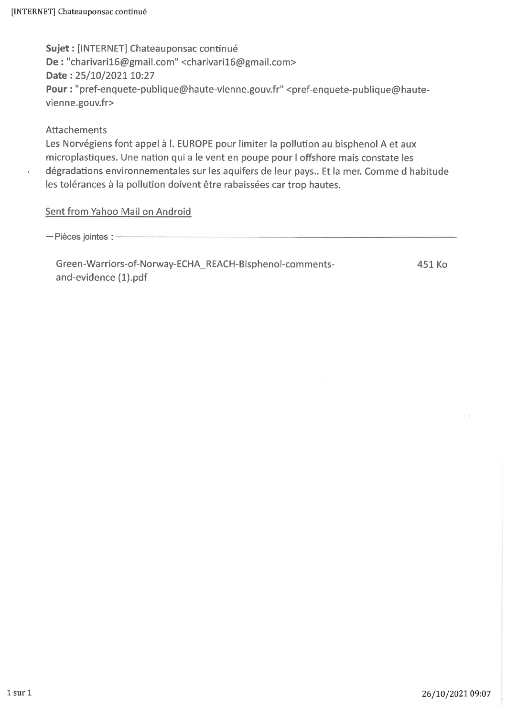Sujet : [INTERNET] Chateauponsac continué De: "charivari16@gmail.com" <charivari16@gmail.com> Date: 25/10/2021 10:27 Pour: "pref-enquete-publique@haute-vienne.gouv.fr" <pref-enquete-publique@hautevienne.gouv.fr>

#### **Attachements**

Les Norvégiens font appel à l. EUROPE pour limiter la pollution au bisphenol A et aux microplastiques. Une nation qui a le vent en poupe pour l offshore mais constate les dégradations environnementales sur les aquifers de leur pays.. Et la mer. Comme d habitude les tolérances à la pollution doivent être rabaissées car trop hautes.

#### Sent from Yahoo Mail on Android

- Pièces jointes :-

Green-Warriors-of-Norway-ECHA\_REACH-Bisphenol-commentsand-evidence (1).pdf

451 Ko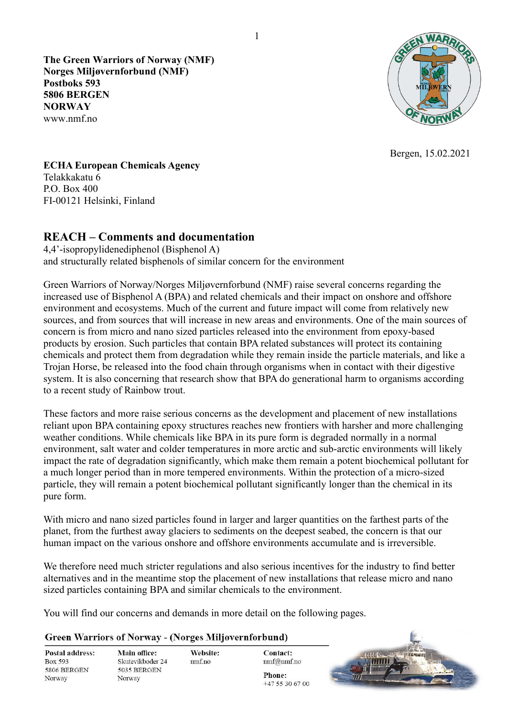**The Green Warriors of Norway (NMF) Norges Miljøvernforbund (NMF) Postboks 593 5806 BERGEN NORWAY**  www.nmf.no



Bergen, 15.02.2021

**ECHA European Chemicals Agency**  Telakkakatu 6 P.O. Box 400 FI-00121 Helsinki, Finland

#### **REACH – Comments and documentation**

4,4'-isopropylidenediphenol (Bisphenol A) and structurally related bisphenols of similar concern for the environment

Green Warriors of Norway/Norges Miljøvernforbund (NMF) raise several concerns regarding the increased use of Bisphenol A (BPA) and related chemicals and their impact on onshore and offshore environment and ecosystems. Much of the current and future impact will come from relatively new sources, and from sources that will increase in new areas and environments. One of the main sources of concern is from micro and nano sized particles released into the environment from epoxy-based products by erosion. Such particles that contain BPA related substances will protect its containing chemicals and protect them from degradation while they remain inside the particle materials, and like a Trojan Horse, be released into the food chain through organisms when in contact with their digestive system. It is also concerning that research show that BPA do generational harm to organisms according to a recent study of Rainbow trout.

These factors and more raise serious concerns as the development and placement of new installations reliant upon BPA containing epoxy structures reaches new frontiers with harsher and more challenging weather conditions. While chemicals like BPA in its pure form is degraded normally in a normal environment, salt water and colder temperatures in more arctic and sub-arctic environments will likely impact the rate of degradation significantly, which make them remain a potent biochemical pollutant for a much longer period than in more tempered environments. Within the protection of a micro-sized particle, they will remain a potent biochemical pollutant significantly longer than the chemical in its pure form.

With micro and nano sized particles found in larger and larger quantities on the farthest parts of the planet, from the furthest away glaciers to sediments on the deepest seabed, the concern is that our human impact on the various onshore and offshore environments accumulate and is irreversible.

We therefore need much stricter regulations and also serious incentives for the industry to find better alternatives and in the meantime stop the placement of new installations that release micro and nano sized particles containing BPA and similar chemicals to the environment.

> **Contact:** nmf@nmf.no Phone: +47 55 30 67 00

You will find our concerns and demands in more detail on the following pages.

#### **Green Warriors of Norway - (Norges Miljøvernforbund)**

| Postal address: | Main office:     | Website:  |  |
|-----------------|------------------|-----------|--|
| Box 593         | Skutevikboder 24 | $nm$ f.no |  |
| 5806 BERGEN     | 5035 BERGEN      |           |  |
| Norway          | Norway           |           |  |



1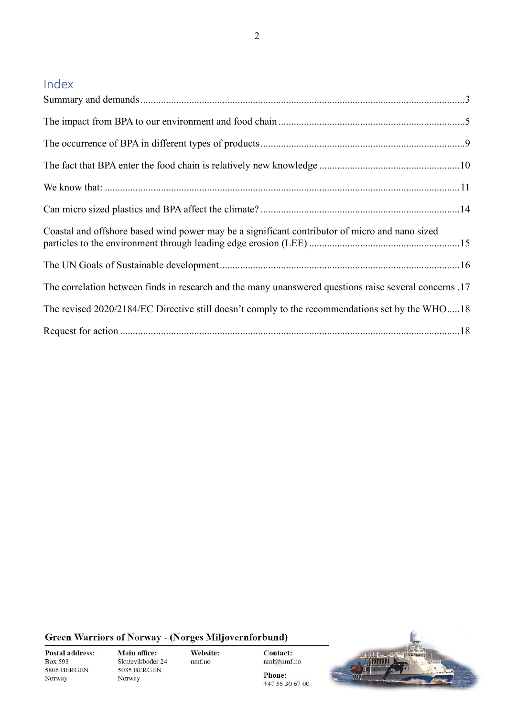# Index

| Coastal and offshore based wind power may be a significant contributor of micro and nano sized         |
|--------------------------------------------------------------------------------------------------------|
|                                                                                                        |
| The correlation between finds in research and the many unanswered questions raise several concerns .17 |
| The revised 2020/2184/EC Directive still doesn't comply to the recommendations set by the WHO18        |
|                                                                                                        |

Green Warriors of Norway - (Norges Miljøvernforbund)

Postal address: Box 593 5806 BERGEN Norway

Main office: Skutevikboder 24 5035 BERGEN Norway

Website:  $\rm nmf.no$ 

Contact:  $\mathrm{nmf}\xspace\textcircled{a}\mathrm{nmf}$ .no

 $+4755306700$ 

Phone:

 $\overline{m}$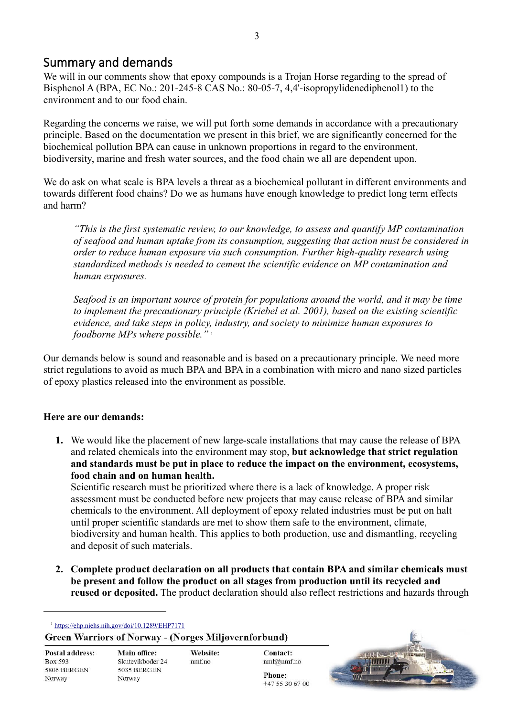## <span id="page-3-0"></span>Summary and demands

We will in our comments show that epoxy compounds is a Trojan Horse regarding to the spread of Bisphenol A (BPA, EC No.: 201-245-8 CAS No.: 80-05-7, 4,4'-isopropylidenediphenol1) to the environment and to our food chain.

Regarding the concerns we raise, we will put forth some demands in accordance with a precautionary principle. Based on the documentation we present in this brief, we are significantly concerned for the biochemical pollution BPA can cause in unknown proportions in regard to the environment, biodiversity, marine and fresh water sources, and the food chain we all are dependent upon.

We do ask on what scale is BPA levels a threat as a biochemical pollutant in different environments and towards different food chains? Do we as humans have enough knowledge to predict long term effects and harm?

*"This is the first systematic review, to our knowledge, to assess and quantify MP contamination of seafood and human uptake from its consumption, suggesting that action must be considered in order to reduce human exposure via such consumption. Further high-quality research using standardized methods is needed to cement the scientific evidence on MP contamination and human exposures.* 

*Seafood is an important source of protein for populations around the world, and it may be time to implement the precautionary principle (Kriebel et al. 2001), based on the existing scientific evidence, and take steps in policy, industry, and society to minimize human exposures to foodborne MPs where possible."* <sup>1</sup>

Our demands below is sound and reasonable and is based on a precautionary principle. We need more strict regulations to avoid as much BPA and BPA in a combination with micro and nano sized particles of epoxy plastics released into the environment as possible.

### **Here are our demands:**

**1.** We would like the placement of new large-scale installations that may cause the release of BPA and related chemicals into the environment may stop, **but acknowledge that strict regulation and standards must be put in place to reduce the impact on the environment, ecosystems, food chain and on human health.** 

Scientific research must be prioritized where there is a lack of knowledge. A proper risk assessment must be conducted before new projects that may cause release of BPA and similar chemicals to the environment. All deployment of epoxy related industries must be put on halt until proper scientific standards are met to show them safe to the environment, climate, biodiversity and human health. This applies to both production, use and dismantling, recycling and deposit of such materials.

**2. Complete product declaration on all products that contain BPA and similar chemicals must be present and follow the product on all stages from production until its recycled and reused or deposited.** The product declaration should also reflect restrictions and hazards through

<sup>1</sup> <https://ehp.niehs.nih.gov/doi/10.1289/EHP7171>

**Green Warriors of Norway - (Norges Miljøvernforbund)** 

| Postal address: |
|-----------------|
| Box 593         |
| 5806 BERGEN     |
| Norway          |

**Contact:** nmf@nmf.no Phone: +47 55 30 67 00

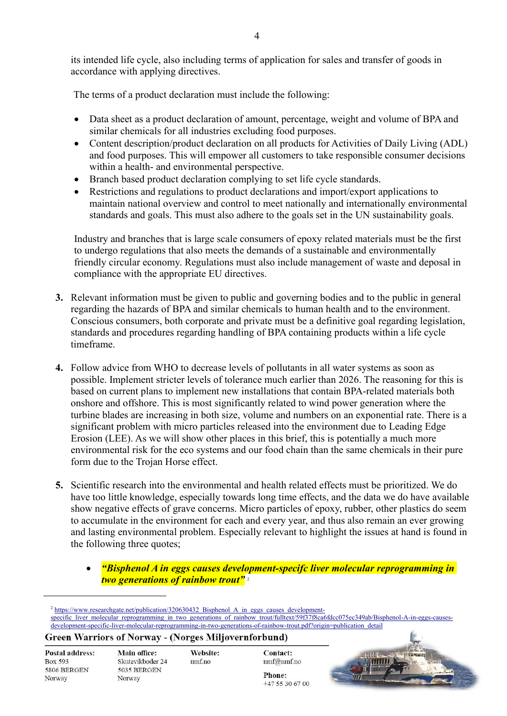its intended life cycle, also including terms of application for sales and transfer of goods in accordance with applying directives.

The terms of a product declaration must include the following:

- Data sheet as a product declaration of amount, percentage, weight and volume of BPA and similar chemicals for all industries excluding food purposes.
- Content description/product declaration on all products for Activities of Daily Living (ADL) and food purposes. This will empower all customers to take responsible consumer decisions within a health- and environmental perspective.
- Branch based product declaration complying to set life cycle standards.
- Restrictions and regulations to product declarations and import/export applications to maintain national overview and control to meet nationally and internationally environmental standards and goals. This must also adhere to the goals set in the UN sustainability goals.

Industry and branches that is large scale consumers of epoxy related materials must be the first to undergo regulations that also meets the demands of a sustainable and environmentally friendly circular economy. Regulations must also include management of waste and deposal in compliance with the appropriate EU directives.

- **3.** Relevant information must be given to public and governing bodies and to the public in general regarding the hazards of BPA and similar chemicals to human health and to the environment. Conscious consumers, both corporate and private must be a definitive goal regarding legislation, standards and procedures regarding handling of BPA containing products within a life cycle timeframe.
- **4.** Follow advice from WHO to decrease levels of pollutants in all water systems as soon as possible. Implement stricter levels of tolerance much earlier than 2026. The reasoning for this is based on current plans to implement new installations that contain BPA-related materials both onshore and offshore. This is most significantly related to wind power generation where the turbine blades are increasing in both size, volume and numbers on an exponential rate. There is a significant problem with micro particles released into the environment due to Leading Edge Erosion (LEE). As we will show other places in this brief, this is potentially a much more environmental risk for the eco systems and our food chain than the same chemicals in their pure form due to the Trojan Horse effect.
- **5.** Scientific research into the environmental and health related effects must be prioritized. We do have too little knowledge, especially towards long time effects, and the data we do have available show negative effects of grave concerns. Micro particles of epoxy, rubber, other plastics do seem to accumulate in the environment for each and every year, and thus also remain an ever growing and lasting environmental problem. Especially relevant to highlight the issues at hand is found in the following three quotes;
	- *"Bisphenol A in eggs causes development-specifc liver molecular reprogramming in two generations of rainbow trout"* <sup>2</sup>

<sup>2</sup> [https://www.researchgate.net/publication/320630432\\_Bisphenol\\_A\\_in\\_eggs\\_causes\\_development](https://www.researchgate.net/publication/320630432_Bisphenol_A_in_eggs_causes_development-specific_liver_molecular_reprogramming_in_two_generations_of_rainbow_trout/fulltext/59f37f8ca6fdcc075ec349ab/Bisphenol-A-in-eggs-causes-development-specific-liver-molecular-reprogramming-in-two-generations-of-rainbow-trout.pdf?origin=publication_detail)[specific\\_liver\\_molecular\\_reprogramming\\_in\\_two\\_generations\\_of\\_rainbow\\_trout/fulltext/59f37f8ca6fdcc075ec349ab/Bisphenol-A-in-eggs-causes](https://www.researchgate.net/publication/320630432_Bisphenol_A_in_eggs_causes_development-specific_liver_molecular_reprogramming_in_two_generations_of_rainbow_trout/fulltext/59f37f8ca6fdcc075ec349ab/Bisphenol-A-in-eggs-causes-development-specific-liver-molecular-reprogramming-in-two-generations-of-rainbow-trout.pdf?origin=publication_detail)[development-specific-liver-molecular-reprogramming-in-two-generations-of-rainbow-trout.pdf?origin=publication\\_detail](https://www.researchgate.net/publication/320630432_Bisphenol_A_in_eggs_causes_development-specific_liver_molecular_reprogramming_in_two_generations_of_rainbow_trout/fulltext/59f37f8ca6fdcc075ec349ab/Bisphenol-A-in-eggs-causes-development-specific-liver-molecular-reprogramming-in-two-generations-of-rainbow-trout.pdf?origin=publication_detail)

#### **Green Warriors of Norway - (Norges Miljøvernforbund)**

| Postal address: |
|-----------------|
| Box 593         |
| 5806 BERGEN     |
| Norway          |

Main office: Skutevikboder 24 5035 BERGEN Norway

Website: nmf.no

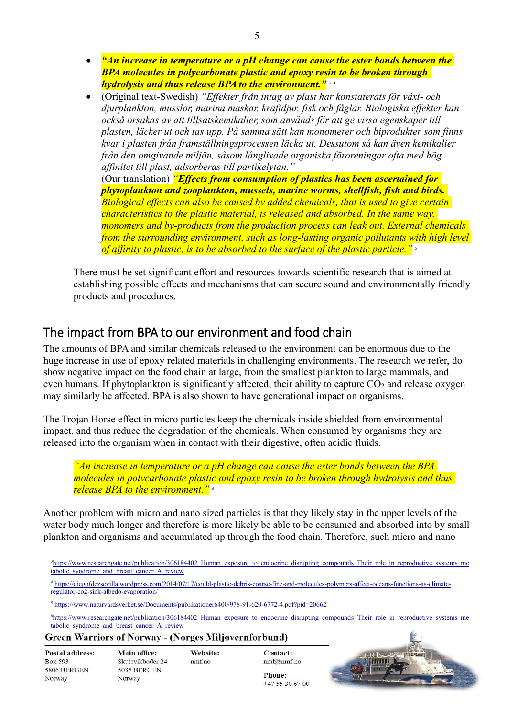- *"An increase in temperature or a pH change can cause the ester bonds between the BPA molecules in polycarbonate plastic and epoxy resin to be broken through hydrolysis and thus release BPA to the environment."* <sup>3</sup> <sup>4</sup>
- (Original text-Swedish) *"Effekter från intag av plast har konstaterats för växt- och djurplankton, musslor, marina maskar, kräftdjur, fisk och fåglar. Biologiska effekter kan också orsakas av att tillsatskemikalier, som används för att ge vissa egenskaper till plasten, läcker ut och tas upp. På samma sätt kan monomerer och biprodukter som finns kvar i plasten från framställningsprocessen läcka ut. Dessutom så kan även kemikalier från den omgivande miljön, såsom långlivade organiska föroreningar ofta med hög affinitet till plast, adsorberas till partikelytan."* (Our translation) *"Effects from consumption of plastics has been ascertained for phytoplankton and zooplankton, mussels, marine worms, shellfish, fish and birds. Biological effects can also be caused by added chemicals, that is used to give certain characteristics to the plastic material, is released and absorbed. In the same way, monomers and by-products from the production process can leak out. External chemicals*

*from the surrounding environment, such as long-lasting organic pollutants with high level of affinity to plastic, is to be absorbed to the surface of the plastic particle."* <sup>5</sup>

There must be set significant effort and resources towards scientific research that is aimed at establishing possible effects and mechanisms that can secure sound and environmentally friendly products and procedures.

## <span id="page-5-0"></span>The impact from BPA to our environment and food chain

The amounts of BPA and similar chemicals released to the environment can be enormous due to the huge increase in use of epoxy related materials in challenging environments. The research we refer, do show negative impact on the food chain at large, from the smallest plankton to large mammals, and even humans. If phytoplankton is significantly affected, their ability to capture  $CO<sub>2</sub>$  and release oxygen may similarly be affected. BPA is also shown to have generational impact on organisms.

The Trojan Horse effect in micro particles keep the chemicals inside shielded from environmental impact, and thus reduce the degradation of the chemicals. When consumed by organisms they are released into the organism when in contact with their digestive, often acidic fluids.

*"An increase in temperature or a pH change can cause the ester bonds between the BPA molecules in polycarbonate plastic and epoxy resin to be broken through hydrolysis and thus release BPA to the environment." <sup>6</sup>*

Another problem with micro and nano sized particles is that they likely stay in the upper levels of the water body much longer and therefore is more likely be able to be consumed and absorbed into by small plankton and organisms and accumulated up through the food chain. Therefore, such micro and nano

<sup>6</sup>[https://www.researchgate.net/publication/306184402\\_Human\\_exposure\\_to\\_endocrine\\_disrupting\\_compounds\\_Their\\_role\\_in\\_reproductive\\_systems\\_me](https://www.researchgate.net/publication/306184402_Human_exposure_to_endocrine_disrupting_compounds_Their_role_in_reproductive_systems_metabolic_syndrome_and_breast_cancer_A_review) [tabolic\\_syndrome\\_and\\_breast\\_cancer\\_A\\_review](https://www.researchgate.net/publication/306184402_Human_exposure_to_endocrine_disrupting_compounds_Their_role_in_reproductive_systems_metabolic_syndrome_and_breast_cancer_A_review)

**Green Warriors of Norway - (Norges Miljøvernforbund)** 

| Postal address: |
|-----------------|
| Box 593         |
| 5806 BERGEN     |
| Norway          |

Website: nmf.no



<sup>&</sup>lt;sup>3</sup>https://www.researchgate.net/publication/306184402 Human exposure to endocrine disrupting compounds Their role in reproductive systems me tabolic syndrome and breast cancer A review

<sup>4</sup> [https://diegofdezsevilla.wordpress.com/2014/07/17/could-plastic-debris-coarse-fine-and-molecules-polymers-affect-oceans-functions-as-climate](https://diegofdezsevilla.wordpress.com/2014/07/17/could-plastic-debris-coarse-fine-and-molecules-polymers-affect-oceans-functions-as-climate-regulator-co2-sink-albedo-evaporation/)[regulator-co2-sink-albedo-evaporation/](https://diegofdezsevilla.wordpress.com/2014/07/17/could-plastic-debris-coarse-fine-and-molecules-polymers-affect-oceans-functions-as-climate-regulator-co2-sink-albedo-evaporation/)

<sup>5</sup> <https://www.naturvardsverket.se/Documents/publikationer6400/978-91-620-6772-4.pdf?pid=20662>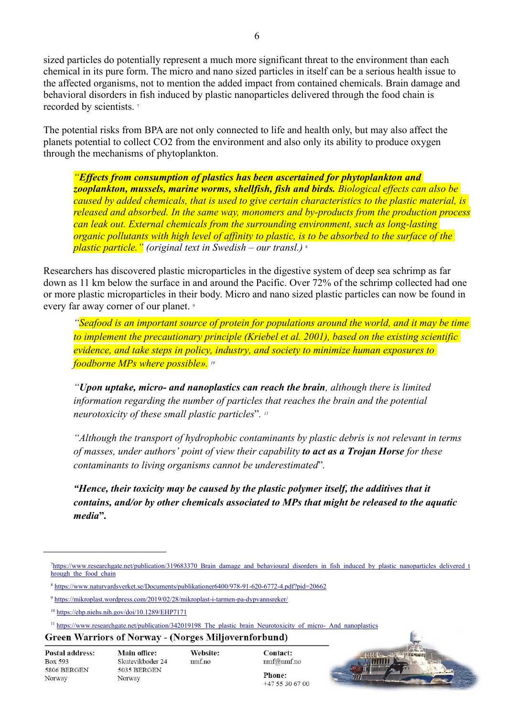sized particles do potentially represent a much more significant threat to the environment than each chemical in its pure form. The micro and nano sized particles in itself can be a serious health issue to the affected organisms, not to mention the added impact from contained chemicals. Brain damage and behavioral disorders in fish induced by plastic nanoparticles delivered through the food chain is recorded by scientists. <sup>7</sup>

The potential risks from BPA are not only connected to life and health only, but may also affect the planets potential to collect CO2 from the environment and also only its ability to produce oxygen through the mechanisms of phytoplankton.

*"Effects from consumption of plastics has been ascertained for phytoplankton and zooplankton, mussels, marine worms, shellfish, fish and birds. Biological effects can also be caused by added chemicals, that is used to give certain characteristics to the plastic material, is released and absorbed. In the same way, monomers and by-products from the production process can leak out. External chemicals from the surrounding environment, such as long-lasting organic pollutants with high level of affinity to plastic, is to be absorbed to the surface of the plastic particle." (original text in Swedish – our transl.)* <sup>8</sup>

Researchers has discovered plastic microparticles in the digestive system of deep sea schrimp as far down as 11 km below the surface in and around the Pacific. Over 72% of the schrimp collected had one or more plastic microparticles in their body. Micro and nano sized plastic particles can now be found in every far away corner of our planet. <sup>9</sup>

*"Seafood is an important source of protein for populations around the world, and it may be time to implement the precautionary principle (Kriebel et al. 2001), based on the existing scientific evidence, and take steps in policy, industry, and society to minimize human exposures to foodborne MPs where possible». <sup>10</sup>* 

*"Upon uptake, micro- and nanoplastics can reach the brain, although there is limited information regarding the number of particles that reaches the brain and the potential neurotoxicity of these small plastic particles*"*. 11* 

*"Although the transport of hydrophobic contaminants by plastic debris is not relevant in terms of masses, under authors' point of view their capability to act as a Trojan Horse for these contaminants to living organisms cannot be underestimated*"*.* 

*"Hence, their toxicity may be caused by the plastic polymer itself, the additives that it contains, and/or by other chemicals associated to MPs that might be released to the aquatic media***"***.* 

Website:

nmf.no

**Green Warriors of Norway - (Norges Miljøvernforbund)** 

| <b>Postal address:</b> |
|------------------------|
| Box 593                |
| 5806 BERGEN            |
| Norway                 |

Contact: nmf@nmf.no Phone:

+47 55 30 67 00

<sup>&</sup>lt;sup>7</sup>https://www.researchgate.net/publication/319683370 Brain\_damage\_and\_behavioural\_disorders\_in\_fish\_induced\_by\_plastic\_nanoparticles\_delivered\_t hrough the food chain

<sup>8</sup> <https://www.naturvardsverket.se/Documents/publikationer6400/978-91-620-6772-4.pdf?pid=20662>

<sup>9</sup> <https://mikroplast.wordpress.com/2019/02/28/mikroplast-i-tarmen-pa-dypvannsreker/>

<sup>10</sup> <https://ehp.niehs.nih.gov/doi/10.1289/EHP7171>

<sup>&</sup>lt;sup>11</sup> [https://www.researchgate.net/publication/342019198\\_The\\_plastic\\_brain\\_Neurotoxicity\\_of\\_micro-\\_And\\_nanoplastics](https://www.researchgate.net/publication/342019198_The_plastic_brain_Neurotoxicity_of_micro-_And_nanoplastics)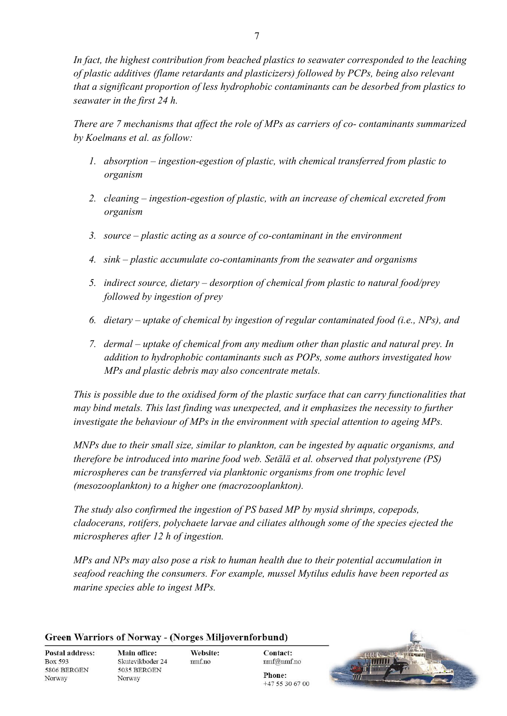*In fact, the highest contribution from beached plastics to seawater corresponded to the leaching of plastic additives (flame retardants and plasticizers) followed by PCPs, being also relevant that a significant proportion of less hydrophobic contaminants can be desorbed from plastics to seawater in the first 24 h.* 

*There are 7 mechanisms that affect the role of MPs as carriers of co- contaminants summarized by Koelmans et al. as follow:* 

- *1. absorption – ingestion-egestion of plastic, with chemical transferred from plastic to organism*
- *2. cleaning – ingestion-egestion of plastic, with an increase of chemical excreted from organism*
- *3. source – plastic acting as a source of co-contaminant in the environment*
- *4. sink – plastic accumulate co-contaminants from the seawater and organisms*
- *5. indirect source, dietary – desorption of chemical from plastic to natural food/prey followed by ingestion of prey*
- *6. dietary – uptake of chemical by ingestion of regular contaminated food (i.e., NPs), and*
- *7. dermal uptake of chemical from any medium other than plastic and natural prey. In addition to hydrophobic contaminants such as POPs, some authors investigated how MPs and plastic debris may also concentrate metals.*

*This is possible due to the oxidised form of the plastic surface that can carry functionalities that may bind metals. This last finding was unexpected, and it emphasizes the necessity to further investigate the behaviour of MPs in the environment with special attention to ageing MPs.* 

*MNPs due to their small size, similar to plankton, can be ingested by aquatic organisms, and therefore be introduced into marine food web. Setälä et al. observed that polystyrene (PS) microspheres can be transferred via planktonic organisms from one trophic level (mesozooplankton) to a higher one (macrozooplankton).* 

*The study also confirmed the ingestion of PS based MP by mysid shrimps, copepods, cladocerans, rotifers, polychaete larvae and ciliates although some of the species ejected the microspheres after 12 h of ingestion.* 

*MPs and NPs may also pose a risk to human health due to their potential accumulation in seafood reaching the consumers. For example, mussel Mytilus edulis have been reported as marine species able to ingest MPs.* 

|                        | <b>Green Warriors of Norway - (Norges Miljøvernforbund)</b> |           |                        |  |
|------------------------|-------------------------------------------------------------|-----------|------------------------|--|
| <b>Postal address:</b> | <b>Main office:</b>                                         | Website:  | <b>Contact:</b>        |  |
| Box 593<br>5806 BERGEN | Skutevikboder 24<br>5035 BERGEN                             | $nm$ f.no | nmf@nmf.no             |  |
| Norway                 | Norway                                                      |           | Phone:<br>$+475306700$ |  |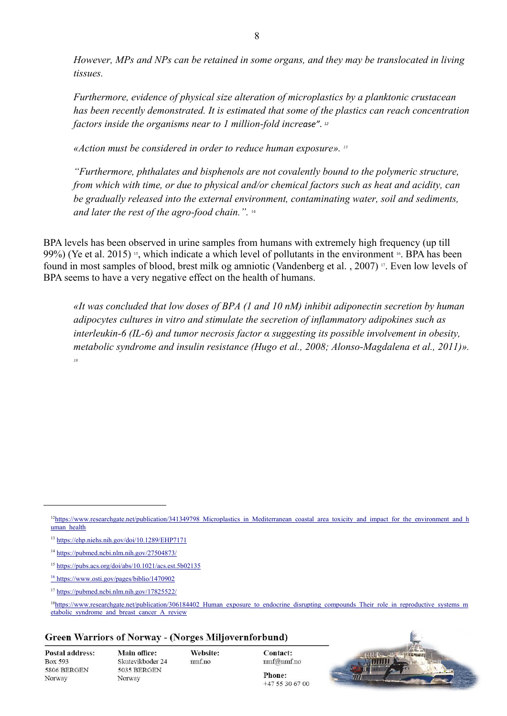*However, MPs and NPs can be retained in some organs, and they may be translocated in living tissues.* 

*Furthermore, evidence of physical size alteration of microplastics by a planktonic crustacean has been recently demonstrated. It is estimated that some of the plastics can reach concentration factors inside the organisms near to 1 million-fold increase". 12*

*«Action must be considered in order to reduce human exposure». <sup>13</sup>*

*"Furthermore, phthalates and bisphenols are not covalently bound to the polymeric structure, from which with time, or due to physical and/or chemical factors such as heat and acidity, can be gradually released into the external environment, contaminating water, soil and sediments, and later the rest of the agro-food chain.".* 14

BPA levels has been observed in urine samples from humans with extremely high frequency (up till 99%) (Ye et al. 2015) <sup>15</sup>, which indicate a which level of pollutants in the environment <sup>16</sup>. BPA has been found in most samples of blood, brest milk og amniotic (Vandenberg et al. , 2007) <sup>17</sup> . Even low levels of BPA seems to have a very negative effect on the health of humans.

*«It was concluded that low doses of BPA (1 and 10 nM) inhibit adiponectin secretion by human adipocytes cultures in vitro and stimulate the secretion of inflammatory adipokines such as interleukin-6 (IL-6) and tumor necrosis factor α suggesting its possible involvement in obesity, metabolic syndrome and insulin resistance (Hugo et al., 2008; Alonso-Magdalena et al., 2011)». 18*

#### **Green Warriors of Norway - (Norges Miljøvernforbund)**

**Postal address:** Box 593 5806 BERGEN Norway

Website:  $nmf.no$ 

**Contact:** nmf@nmf.no Phone:

 $+475306700$ 



 $12$ https://www.researchgate.net/publication/341349798 Microplastics in Mediterranean coastal area toxicity and impact for the environment and h uman health

<sup>13</sup> <https://ehp.niehs.nih.gov/doi/10.1289/EHP7171>

<sup>14</sup> <https://pubmed.ncbi.nlm.nih.gov/27504873/>

<sup>15</sup> <https://pubs.acs.org/doi/abs/10.1021/acs.est.5b02135>

<sup>16</sup><https://www.osti.gov/pages/biblio/1470902>

<sup>17</sup> <https://pubmed.ncbi.nlm.nih.gov/17825522/>

<sup>&</sup>lt;sup>18</sup>https://www.researchgate.net/publication/306184402 Human exposure to endocrine disrupting compounds Their role in reproductive systems m [etabolic\\_syndrome\\_and\\_breast\\_cancer\\_A\\_review](https://www.researchgate.net/publication/306184402_Human_exposure_to_endocrine_disrupting_compounds_Their_role_in_reproductive_systems_metabolic_syndrome_and_breast_cancer_A_review)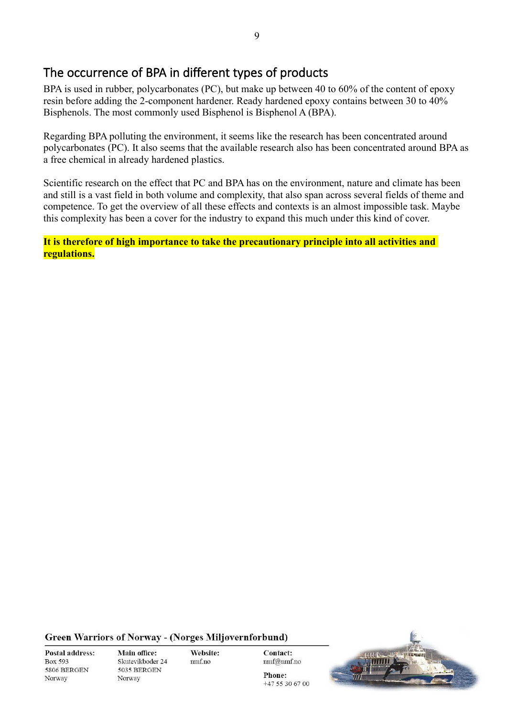# <span id="page-9-0"></span>The occurrence of BPA in different types of products

BPA is used in rubber, polycarbonates (PC), but make up between 40 to 60% of the content of epoxy resin before adding the 2-component hardener. Ready hardened epoxy contains between 30 to 40% Bisphenols. The most commonly used Bisphenol is Bisphenol A (BPA).

Regarding BPA polluting the environment, it seems like the research has been concentrated around polycarbonates (PC). It also seems that the available research also has been concentrated around BPA as a free chemical in already hardened plastics.

Scientific research on the effect that PC and BPA has on the environment, nature and climate has been and still is a vast field in both volume and complexity, that also span across several fields of theme and competence. To get the overview of all these effects and contexts is an almost impossible task. Maybe this complexity has been a cover for the industry to expand this much under this kind of cover.

**It is therefore of high importance to take the precautionary principle into all activities and regulations.** 

**Green Warriors of Norway - (Norges Miljøvernforbund)** 

**Postal address: Box 593** 5806 BERGEN Norway

Main office: Skutevikboder 24 5035 BERGEN Norway

Website: nmf.no

**Contact:** nmf@nmf.no

 $+475306700$ 

Phone: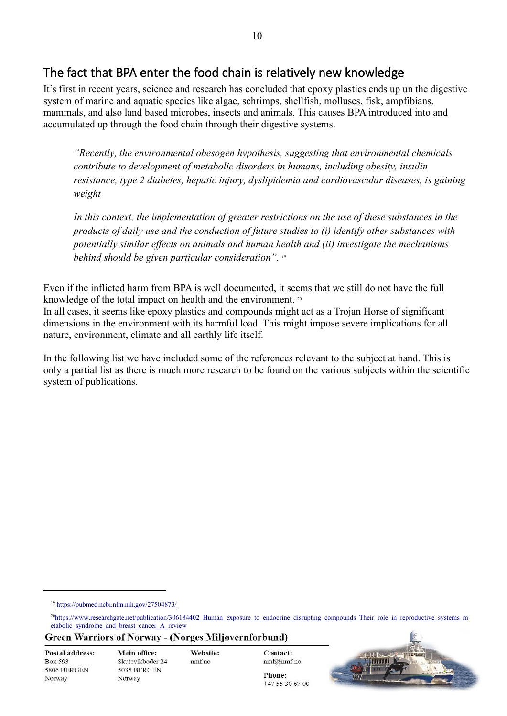## <span id="page-10-0"></span>The fact that BPA enter the food chain is relatively new knowledge

It's first in recent years, science and research has concluded that epoxy plastics ends up un the digestive system of marine and aquatic species like algae, schrimps, shellfish, molluscs, fisk, ampfibians, mammals, and also land based microbes, insects and animals. This causes BPA introduced into and accumulated up through the food chain through their digestive systems.

*"Recently, the environmental obesogen hypothesis, suggesting that environmental chemicals contribute to development of metabolic disorders in humans, including obesity, insulin resistance, type 2 diabetes, hepatic injury, dyslipidemia and cardiovascular diseases, is gaining weight* 

In this context, the implementation of greater restrictions on the use of these substances in the *products of daily use and the conduction of future studies to (i) identify other substances with potentially similar effects on animals and human health and (ii) investigate the mechanisms behind should be given particular consideration". 19* 

Even if the inflicted harm from BPA is well documented, it seems that we still do not have the full knowledge of the total impact on health and the environment. 20

In all cases, it seems like epoxy plastics and compounds might act as a Trojan Horse of significant dimensions in the environment with its harmful load. This might impose severe implications for all nature, environment, climate and all earthly life itself.

In the following list we have included some of the references relevant to the subject at hand. This is only a partial list as there is much more research to be found on the various subjects within the scientific system of publications.

<sup>19</sup> <https://pubmed.ncbi.nlm.nih.gov/27504873/>

**Green Warriors of Norway - (Norges Miljøvernforbund)** 

| <b>Postal address:</b> |
|------------------------|
| Box 593                |
| 5806 BERGEN            |
| Norway                 |

Main office: Skutevikboder 24 5035 BERGEN Norway

Website:  $nmf.no$ 



<sup>&</sup>lt;sup>20</sup>[https://www.researchgate.net/publication/306184402\\_Human\\_exposure\\_to\\_endocrine\\_disrupting\\_compounds\\_Their\\_role\\_in\\_reproductive\\_systems\\_m](https://www.researchgate.net/publication/306184402_Human_exposure_to_endocrine_disrupting_compounds_Their_role_in_reproductive_systems_metabolic_syndrome_and_breast_cancer_A_review) [etabolic\\_syndrome\\_and\\_breast\\_cancer\\_A\\_review](https://www.researchgate.net/publication/306184402_Human_exposure_to_endocrine_disrupting_compounds_Their_role_in_reproductive_systems_metabolic_syndrome_and_breast_cancer_A_review)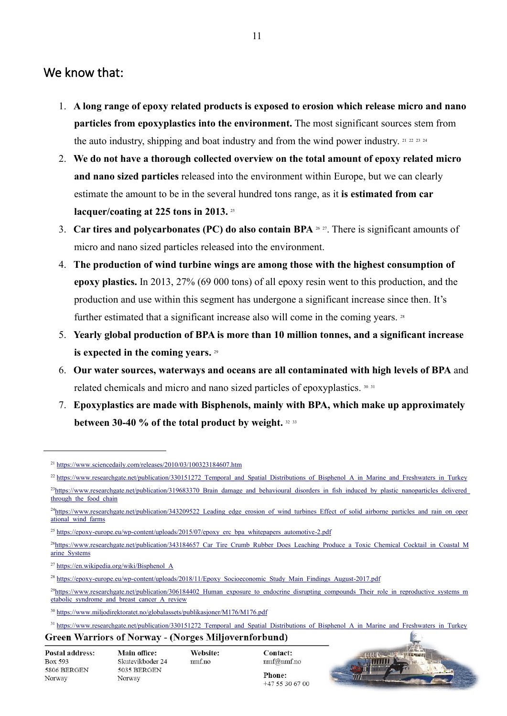## <span id="page-11-0"></span>We know that:

- 1. **A long range of epoxy related products is exposed to erosion which release micro and nano particles from epoxyplastics into the environment.** The most significant sources stem from the auto industry, shipping and boat industry and from the wind power industry.  $21 \times 22 \times 34$
- 2. **We do not have a thorough collected overview on the total amount of epoxy related micro and nano sized particles** released into the environment within Europe, but we can clearly estimate the amount to be in the several hundred tons range, as it **is estimated from car lacquer/coating at 225 tons in 2013.** <sup>25</sup>
- 3. **Car tires and polycarbonates (PC) do also contain BPA** <sup>26</sup> <sup>27</sup> . There is significant amounts of micro and nano sized particles released into the environment.
- 4. **The production of wind turbine wings are among those with the highest consumption of epoxy plastics.** In 2013, 27% (69 000 tons) of all epoxy resin went to this production, and the production and use within this segment has undergone a significant increase since then. It's further estimated that a significant increase also will come in the coming years. 28
- 5. **Yearly global production of BPA is more than 10 million tonnes, and a significant increase is expected in the coming years.** <sup>29</sup>
- 6. **Our water sources, waterways and oceans are all contaminated with high levels of BPA** and related chemicals and micro and nano sized particles of epoxyplastics. <sup>30</sup> <sup>31</sup>
- 7. **Epoxyplastics are made with Bisphenols, mainly with BPA, which make up approximately between 30-40 % of the total product by weight.** <sup>32</sup> <sup>33</sup>

Website:

 $nmf.no$ 

<sup>&</sup>lt;sup>31</sup> [https://www.researchgate.net/publication/330151272\\_Temporal\\_and\\_Spatial\\_Distributions\\_of\\_Bisphenol\\_A\\_in\\_Marine\\_and\\_Freshwaters\\_in\\_Turkey](https://www.researchgate.net/publication/330151272_Temporal_and_Spatial_Distributions_of_Bisphenol_A_in_Marine_and_Freshwaters_in_Turkey) **Green Warriors of Norway - (Norges Miljøvernforbund)** 

| <b>Postal address:</b> |
|------------------------|
| Box 593                |
| 5806 BERGEN            |
| Norway                 |



<sup>21</sup> <https://www.sciencedaily.com/releases/2010/03/100323184607.htm>

<sup>&</sup>lt;sup>22</sup> [https://www.researchgate.net/publication/330151272\\_Temporal\\_and\\_Spatial\\_Distributions\\_of\\_Bisphenol\\_A\\_in\\_Marine\\_and\\_Freshwaters\\_in\\_Turkey](https://www.researchgate.net/publication/330151272_Temporal_and_Spatial_Distributions_of_Bisphenol_A_in_Marine_and_Freshwaters_in_Turkey)

<sup>&</sup>lt;sup>23</sup>https://www.researchgate.net/publication/319683370 Brain\_damage\_and\_behavioural\_disorders\_in\_fish\_induced\_by\_plastic\_nanoparticles\_delivered through the food chain

<sup>&</sup>lt;sup>24</sup>[https://www.researchgate.net/publication/343209522\\_Leading\\_edge\\_erosion\\_of\\_wind\\_turbines\\_Effect\\_of\\_solid\\_airborne\\_particles\\_and\\_rain\\_on\\_oper](https://www.researchgate.net/publication/343209522_Leading_edge_erosion_of_wind_turbines_Effect_of_solid_airborne_particles_and_rain_on_operational_wind_farms) [ational\\_wind\\_farms](https://www.researchgate.net/publication/343209522_Leading_edge_erosion_of_wind_turbines_Effect_of_solid_airborne_particles_and_rain_on_operational_wind_farms)

<sup>&</sup>lt;sup>25</sup> [https://epoxy-europe.eu/wp-content/uploads/2015/07/epoxy\\_erc\\_bpa\\_whitepapers\\_automotive-2.pdf](https://epoxy-europe.eu/wp-content/uploads/2015/07/epoxy_erc_bpa_whitepapers_automotive-2.pdf)

<sup>&</sup>lt;sup>26</sup>[https://www.researchgate.net/publication/343184657\\_Car\\_Tire\\_Crumb\\_Rubber\\_Does\\_Leaching\\_Produce\\_a\\_Toxic\\_Chemical\\_Cocktail\\_in\\_Coastal\\_M](https://www.researchgate.net/publication/343184657_Car_Tire_Crumb_Rubber_Does_Leaching_Produce_a_Toxic_Chemical_Cocktail_in_Coastal_Marine_Systems) [arine\\_Systems](https://www.researchgate.net/publication/343184657_Car_Tire_Crumb_Rubber_Does_Leaching_Produce_a_Toxic_Chemical_Cocktail_in_Coastal_Marine_Systems)

<sup>27</sup> [https://en.wikipedia.org/wiki/Bisphenol\\_A](https://en.wikipedia.org/wiki/Bisphenol_A)

<sup>&</sup>lt;sup>28</sup> [https://epoxy-europe.eu/wp-content/uploads/2018/11/Epoxy\\_Socioeconomic\\_Study\\_Main\\_Findings\\_August-2017.pdf](https://epoxy-europe.eu/wp-content/uploads/2018/11/Epoxy_Socioeconomic_Study_Main_Findings_August-2017.pdf)

 $^{29}$ https://www.researchgate.net/publication/306184402 Human exposure to endocrine disrupting compounds Their role in reproductive systems m etabolic syndrome and breast cancer A review

<sup>30</sup> <https://www.miljodirektoratet.no/globalassets/publikasjoner/M176/M176.pdf>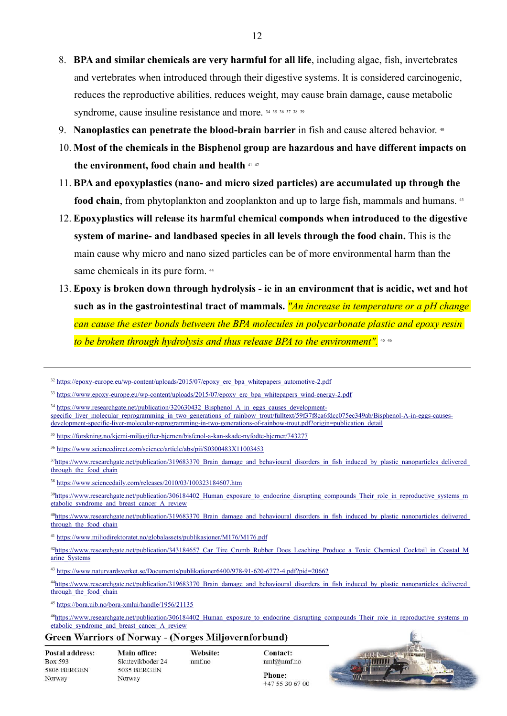- 8. **BPA and similar chemicals are very harmful for all life**, including algae, fish, invertebrates and vertebrates when introduced through their digestive systems. It is considered carcinogenic, reduces the reproductive abilities, reduces weight, may cause brain damage, cause metabolic syndrome, cause insuline resistance and more. 34 35 36 37 38 39
- 9. **Nanoplastics can penetrate the blood-brain barrier** in fish and cause altered behavior. <sup>40</sup>
- 10. **Most of the chemicals in the Bisphenol group are hazardous and have different impacts on the environment, food chain and health** <sup>41</sup> <sup>42</sup>
- 11. **BPA and epoxyplastics (nano- and micro sized particles) are accumulated up through the food chain**, from phytoplankton and zooplankton and up to large fish, mammals and humans. <sup>43</sup>
- 12. **Epoxyplastics will release its harmful chemical componds when introduced to the digestive system of marine- and landbased species in all levels through the food chain.** This is the main cause why micro and nano sized particles can be of more environmental harm than the same chemicals in its pure form.  $44$
- 13. **Epoxy is broken down through hydrolysis ie in an environment that is acidic, wet and hot such as in the gastrointestinal tract of mammals.** *"An increase in temperature or a pH change can cause the ester bonds between the BPA molecules in polycarbonate plastic and epoxy resin to be broken through hydrolysis and thus release BPA to the environment".* <sup>45</sup> <sup>46</sup>

<sup>32</sup> [https://epoxy-europe.eu/wp-content/uploads/2015/07/epoxy\\_erc\\_bpa\\_whitepapers\\_automotive-2.pdf](https://epoxy-europe.eu/wp-content/uploads/2015/07/epoxy_erc_bpa_whitepapers_automotive-2.pdf)

#### **Green Warriors of Norway - (Norges Miljøvernforbund)**

| Postal address: |
|-----------------|
| Box 593         |
| 5806 BERGEN     |
| Norway          |

 $+475306700$ 



<sup>&</sup>lt;sup>33</sup> [https://www.epoxy-europe.eu/wp-content/uploads/2015/07/epoxy\\_erc\\_bpa\\_whitepapers\\_wind-energy-2.pdf](https://www.epoxy-europe.eu/wp-content/uploads/2015/07/epoxy_erc_bpa_whitepapers_wind-energy-2.pdf)

<sup>&</sup>lt;sup>34</sup> [https://www.researchgate.net/publication/320630432\\_Bisphenol\\_A\\_in\\_eggs\\_causes\\_development](https://www.researchgate.net/publication/320630432_Bisphenol_A_in_eggs_causes_development-specific_liver_molecular_reprogramming_in_two_generations_of_rainbow_trout/fulltext/59f37f8ca6fdcc075ec349ab/Bisphenol-A-in-eggs-causes-development-specific-liver-molecular-reprogramming-in-two-generations-of-rainbow-trout.pdf?origin=publication_detail)specific liver molecular reprogramming in two generations of rainbow trout/fulltext/59f37f8ca6fdcc075ec349ab/Bisphenol-A-in-eggs-causes[development-specific-liver-molecular-reprogramming-in-two-generations-of-rainbow-trout.pdf?origin=publication\\_detail](https://www.researchgate.net/publication/320630432_Bisphenol_A_in_eggs_causes_development-specific_liver_molecular_reprogramming_in_two_generations_of_rainbow_trout/fulltext/59f37f8ca6fdcc075ec349ab/Bisphenol-A-in-eggs-causes-development-specific-liver-molecular-reprogramming-in-two-generations-of-rainbow-trout.pdf?origin=publication_detail)

<sup>35</sup> <https://forskning.no/kjemi-miljogifter-hjernen/bisfenol-a-kan-skade-nyfodte-hjerner/743277>

<sup>36</sup> <https://www.sciencedirect.com/science/article/abs/pii/S0300483X11003453>

 $37$ https://www.researchgate.net/publication/319683370 Brain\_damage\_and\_behavioural\_disorders\_in\_fish\_induced\_by\_plastic\_nanoparticles\_delivered through the food chain

<sup>38</sup> <https://www.sciencedaily.com/releases/2010/03/100323184607.htm>

<sup>&</sup>lt;sup>39</sup>https://www.researchgate.net/publication/306184402 Human exposure to endocrine disrupting compounds Their role in reproductive systems m [etabolic\\_syndrome\\_and\\_breast\\_cancer\\_A\\_review](https://www.researchgate.net/publication/306184402_Human_exposure_to_endocrine_disrupting_compounds_Their_role_in_reproductive_systems_metabolic_syndrome_and_breast_cancer_A_review)

<sup>&</sup>lt;sup>40</sup>https://www.researchgate.net/publication/319683370 Brain\_damage\_and\_behavioural\_disorders\_in\_fish\_induced\_by\_plastic\_nanoparticles\_delivered\_ through the food chain

<sup>41</sup> <https://www.miljodirektoratet.no/globalassets/publikasjoner/M176/M176.pdf>

<sup>&</sup>lt;sup>42</sup>https://www.researchgate.net/publication/343184657 Car Tire Crumb Rubber Does Leaching Produce a Toxic Chemical Cocktail in Coastal M [arine\\_Systems](https://www.researchgate.net/publication/343184657_Car_Tire_Crumb_Rubber_Does_Leaching_Produce_a_Toxic_Chemical_Cocktail_in_Coastal_Marine_Systems)

<sup>43</sup> <https://www.naturvardsverket.se/Documents/publikationer6400/978-91-620-6772-4.pdf?pid=20662>

<sup>44</sup>https://www.researchgate.net/publication/319683370 Brain\_damage\_and\_behavioural\_disorders\_in\_fish\_induced\_by\_plastic\_nanoparticles\_delivered through the food chain

<sup>45</sup> <https://bora.uib.no/bora-xmlui/handle/1956/21135>

<sup>&</sup>lt;sup>46</sup>[https://www.researchgate.net/publication/306184402\\_Human\\_exposure\\_to\\_endocrine\\_disrupting\\_compounds\\_Their\\_role\\_in\\_reproductive\\_systems\\_m](https://www.researchgate.net/publication/306184402_Human_exposure_to_endocrine_disrupting_compounds_Their_role_in_reproductive_systems_metabolic_syndrome_and_breast_cancer_A_review) [etabolic\\_syndrome\\_and\\_breast\\_cancer\\_A\\_review](https://www.researchgate.net/publication/306184402_Human_exposure_to_endocrine_disrupting_compounds_Their_role_in_reproductive_systems_metabolic_syndrome_and_breast_cancer_A_review)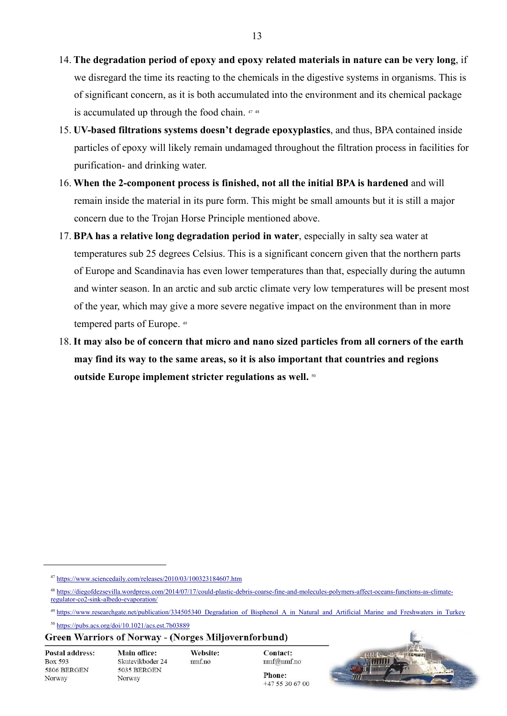- 14. **The degradation period of epoxy and epoxy related materials in nature can be very long**, if we disregard the time its reacting to the chemicals in the digestive systems in organisms. This is of significant concern, as it is both accumulated into the environment and its chemical package is accumulated up through the food chain. <sup>47</sup> <sup>48</sup>
- 15. **UV-based filtrations systems doesn't degrade epoxyplastics**, and thus, BPA contained inside particles of epoxy will likely remain undamaged throughout the filtration process in facilities for purification- and drinking water.
- 16. **When the 2-component process is finished, not all the initial BPA is hardened** and will remain inside the material in its pure form. This might be small amounts but it is still a major concern due to the Trojan Horse Principle mentioned above.
- 17. **BPA has a relative long degradation period in water**, especially in salty sea water at temperatures sub 25 degrees Celsius. This is a significant concern given that the northern parts of Europe and Scandinavia has even lower temperatures than that, especially during the autumn and winter season. In an arctic and sub arctic climate very low temperatures will be present most of the year, which may give a more severe negative impact on the environment than in more tempered parts of Europe. <sup>49</sup>
- 18. **It may also be of concern that micro and nano sized particles from all corners of the earth may find its way to the same areas, so it is also important that countries and regions outside Europe implement stricter regulations as well.** <sup>50</sup>

#### **Green Warriors of Norway - (Norges Miljøvernforbund)**

**Postal address:** Box 593 5806 BERGEN Norway

Website:  $nmf.no$ 



<sup>47</sup> <https://www.sciencedaily.com/releases/2010/03/100323184607.htm>

<sup>48</sup> [https://diegofdezsevilla.wordpress.com/2014/07/17/could-plastic-debris-coarse-fine-and-molecules-polymers-affect-oceans-functions-as-climate](https://diegofdezsevilla.wordpress.com/2014/07/17/could-plastic-debris-coarse-fine-and-molecules-polymers-affect-oceans-functions-as-climate-regulator-co2-sink-albedo-evaporation/)[regulator-co2-sink-albedo-evaporation/](https://diegofdezsevilla.wordpress.com/2014/07/17/could-plastic-debris-coarse-fine-and-molecules-polymers-affect-oceans-functions-as-climate-regulator-co2-sink-albedo-evaporation/)

<sup>&</sup>lt;sup>49</sup> https://www.researchgate.net/publication/334505340 Degradation of Bisphenol A\_in\_Natural\_and\_Artificial\_Marine\_and\_Freshwaters\_in\_Turkey

<sup>50</sup> <https://pubs.acs.org/doi/10.1021/acs.est.7b03889>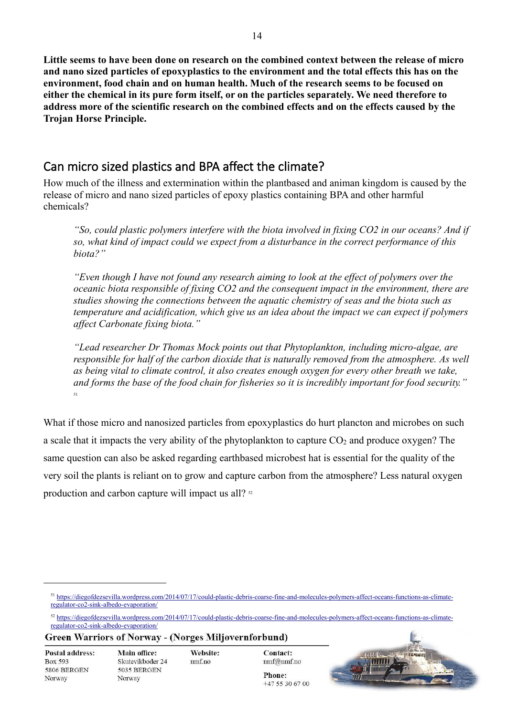**Little seems to have been done on research on the combined context between the release of micro and nano sized particles of epoxyplastics to the environment and the total effects this has on the environment, food chain and on human health. Much of the research seems to be focused on either the chemical in its pure form itself, or on the particles separately. We need therefore to address more of the scientific research on the combined effects and on the effects caused by the Trojan Horse Principle.** 

## <span id="page-14-0"></span>Can micro sized plastics and BPA affect the climate?

How much of the illness and extermination within the plantbased and animan kingdom is caused by the release of micro and nano sized particles of epoxy plastics containing BPA and other harmful chemicals?

*"So, could plastic polymers interfere with the biota involved in fixing CO2 in our oceans? And if so, what kind of impact could we expect from a disturbance in the correct performance of this biota?"*

*"Even though I have not found any research aiming to look at the effect of polymers over the oceanic biota responsible of fixing CO2 and the consequent impact in the environment, there are studies showing the connections between the aquatic chemistry of seas and the biota such as temperature and acidification, which give us an idea about the impact we can expect if polymers affect Carbonate fixing biota."*

*"Lead researcher Dr Thomas Mock points out that Phytoplankton, including micro-algae, are responsible for half of the carbon dioxide that is naturally removed from the atmosphere. As well as being vital to climate control, it also creates enough oxygen for every other breath we take, and forms the base of the food chain for fisheries so it is incredibly important for food security."* 51

What if those micro and nanosized particles from epoxyplastics do hurt plancton and microbes on such a scale that it impacts the very ability of the phytoplankton to capture  $CO<sub>2</sub>$  and produce oxygen? The same question can also be asked regarding earthbased microbest hat is essential for the quality of the very soil the plants is reliant on to grow and capture carbon from the atmosphere? Less natural oxygen production and carbon capture will impact us all? <sup>52</sup>

**Green Warriors of Norway - (Norges Miljøvernforbund)** 

Postal address: Box 593 5806 BERGEN Norway

Website: nmf.no



<sup>&</sup>lt;sup>51</sup> [https://diegofdezsevilla.wordpress.com/2014/07/17/could-plastic-debris-coarse-fine-and-molecules-polymers-affect-oceans-functions-as-climate](https://diegofdezsevilla.wordpress.com/2014/07/17/could-plastic-debris-coarse-fine-and-molecules-polymers-affect-oceans-functions-as-climate-regulator-co2-sink-albedo-evaporation/)[regulator-co2-sink-albedo-evaporation/](https://diegofdezsevilla.wordpress.com/2014/07/17/could-plastic-debris-coarse-fine-and-molecules-polymers-affect-oceans-functions-as-climate-regulator-co2-sink-albedo-evaporation/)

<sup>52</sup> [https://diegofdezsevilla.wordpress.com/2014/07/17/could-plastic-debris-coarse-fine-and-molecules-polymers-affect-oceans-functions-as-climate](https://diegofdezsevilla.wordpress.com/2014/07/17/could-plastic-debris-coarse-fine-and-molecules-polymers-affect-oceans-functions-as-climate-regulator-co2-sink-albedo-evaporation/)[regulator-co2-sink-albedo-evaporation/](https://diegofdezsevilla.wordpress.com/2014/07/17/could-plastic-debris-coarse-fine-and-molecules-polymers-affect-oceans-functions-as-climate-regulator-co2-sink-albedo-evaporation/)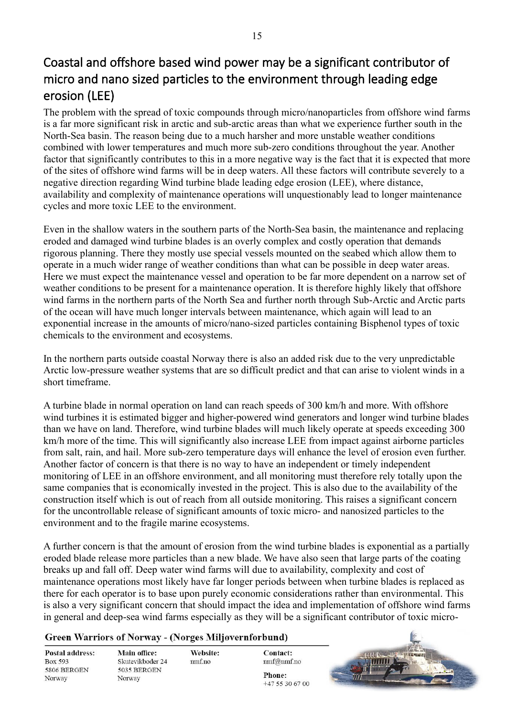# <span id="page-15-0"></span>Coastal and offshore based wind power may be a significant contributor of micro and nano sized particles to the environment through leading edge erosion (LEE)

The problem with the spread of toxic compounds through micro/nanoparticles from offshore wind farms is a far more significant risk in arctic and sub-arctic areas than what we experience further south in the North-Sea basin. The reason being due to a much harsher and more unstable weather conditions combined with lower temperatures and much more sub-zero conditions throughout the year. Another factor that significantly contributes to this in a more negative way is the fact that it is expected that more of the sites of offshore wind farms will be in deep waters. All these factors will contribute severely to a negative direction regarding Wind turbine blade leading edge erosion (LEE), where distance, availability and complexity of maintenance operations will unquestionably lead to longer maintenance cycles and more toxic LEE to the environment.

Even in the shallow waters in the southern parts of the North-Sea basin, the maintenance and replacing eroded and damaged wind turbine blades is an overly complex and costly operation that demands rigorous planning. There they mostly use special vessels mounted on the seabed which allow them to operate in a much wider range of weather conditions than what can be possible in deep water areas. Here we must expect the maintenance vessel and operation to be far more dependent on a narrow set of weather conditions to be present for a maintenance operation. It is therefore highly likely that offshore wind farms in the northern parts of the North Sea and further north through Sub-Arctic and Arctic parts of the ocean will have much longer intervals between maintenance, which again will lead to an exponential increase in the amounts of micro/nano-sized particles containing Bisphenol types of toxic chemicals to the environment and ecosystems.

In the northern parts outside coastal Norway there is also an added risk due to the very unpredictable Arctic low-pressure weather systems that are so difficult predict and that can arise to violent winds in a short timeframe.

A turbine blade in normal operation on land can reach speeds of 300 km/h and more. With offshore wind turbines it is estimated bigger and higher-powered wind generators and longer wind turbine blades than we have on land. Therefore, wind turbine blades will much likely operate at speeds exceeding 300 km/h more of the time. This will significantly also increase LEE from impact against airborne particles from salt, rain, and hail. More sub-zero temperature days will enhance the level of erosion even further. Another factor of concern is that there is no way to have an independent or timely independent monitoring of LEE in an offshore environment, and all monitoring must therefore rely totally upon the same companies that is economically invested in the project. This is also due to the availability of the construction itself which is out of reach from all outside monitoring. This raises a significant concern for the uncontrollable release of significant amounts of toxic micro- and nanosized particles to the environment and to the fragile marine ecosystems.

A further concern is that the amount of erosion from the wind turbine blades is exponential as a partially eroded blade release more particles than a new blade. We have also seen that large parts of the coating breaks up and fall off. Deep water wind farms will due to availability, complexity and cost of maintenance operations most likely have far longer periods between when turbine blades is replaced as there for each operator is to base upon purely economic considerations rather than environmental. This is also a very significant concern that should impact the idea and implementation of offshore wind farms in general and deep-sea wind farms especially as they will be a significant contributor of toxic micro-

#### **Green Warriors of Norway - (Norges Miljøvernforbund)**

Website:

 $nmf.no$ 

**Postal address:** Box 593 5806 BERGEN Norway

Main office: Skutevikboder 24 5035 BERGEN Norway

Contact: nmf@nmf.no Phone: +47 55 30 67 00

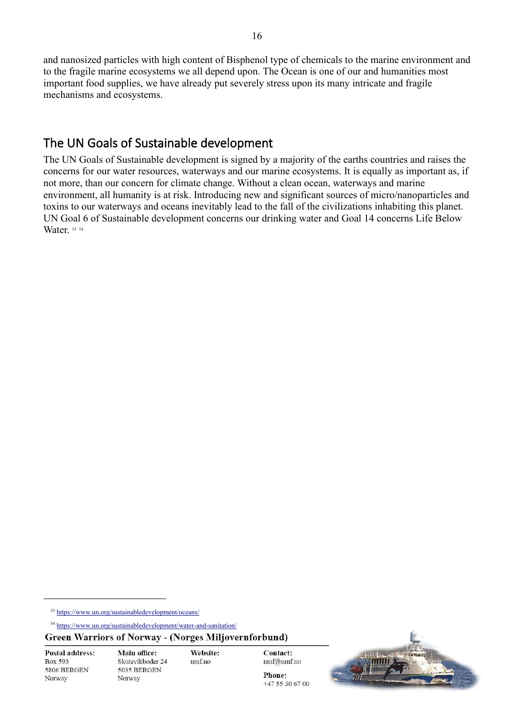and nanosized particles with high content of Bisphenol type of chemicals to the marine environment and to the fragile marine ecosystems we all depend upon. The Ocean is one of our and humanities most important food supplies, we have already put severely stress upon its many intricate and fragile mechanisms and ecosystems.

## <span id="page-16-0"></span>The UN Goals of Sustainable development

The UN Goals of Sustainable development is signed by a majority of the earths countries and raises the concerns for our water resources, waterways and our marine ecosystems. It is equally as important as, if not more, than our concern for climate change. Without a clean ocean, waterways and marine environment, all humanity is at risk. Introducing new and significant sources of micro/nanoparticles and toxins to our waterways and oceans inevitably lead to the fall of the civilizations inhabiting this planet. UN Goal 6 of Sustainable development concerns our drinking water and Goal 14 concerns Life Below Water. 53 54

**Postal address:** Box 593 5806 BERGEN Norway

Website: nmf.no



<sup>53</sup> <https://www.un.org/sustainabledevelopment/oceans/>

<sup>54</sup> <https://www.un.org/sustainabledevelopment/water-and-sanitation/>

**Green Warriors of Norway - (Norges Miljøvernforbund)**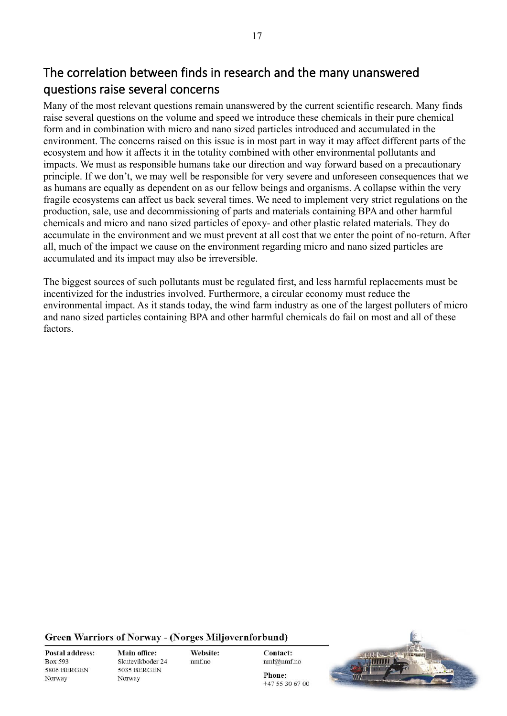<span id="page-17-0"></span>Many of the most relevant questions remain unanswered by the current scientific research. Many finds raise several questions on the volume and speed we introduce these chemicals in their pure chemical form and in combination with micro and nano sized particles introduced and accumulated in the environment. The concerns raised on this issue is in most part in way it may affect different parts of the ecosystem and how it affects it in the totality combined with other environmental pollutants and impacts. We must as responsible humans take our direction and way forward based on a precautionary principle. If we don't, we may well be responsible for very severe and unforeseen consequences that we as humans are equally as dependent on as our fellow beings and organisms. A collapse within the very fragile ecosystems can affect us back several times. We need to implement very strict regulations on the production, sale, use and decommissioning of parts and materials containing BPA and other harmful chemicals and micro and nano sized particles of epoxy- and other plastic related materials. They do accumulate in the environment and we must prevent at all cost that we enter the point of no-return. After all, much of the impact we cause on the environment regarding micro and nano sized particles are accumulated and its impact may also be irreversible.

The biggest sources of such pollutants must be regulated first, and less harmful replacements must be incentivized for the industries involved. Furthermore, a circular economy must reduce the environmental impact. As it stands today, the wind farm industry as one of the largest polluters of micro and nano sized particles containing BPA and other harmful chemicals do fail on most and all of these factors.

#### **Green Warriors of Norway - (Norges Miljøvernforbund)**

**Postal address:** Box 593 5806 BERGEN Norway

Main office: Skutevikboder 24 5035 BERGEN Norway

Website:  $nmf.no$ 

**Contact:** nmf@nmf.no

 $+475306700$ 

Phone: